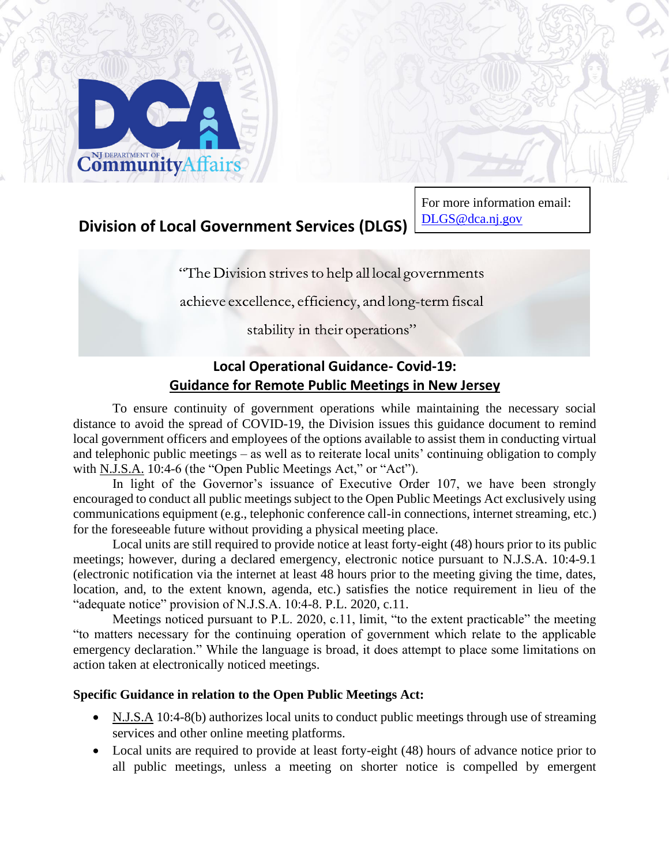

# **Division of Local Government Services (DLGS)**

For more information email: DLG[S@dca.nj.gov](mailto:LFB_FDS@dca.nj.gov)

"The Division strives to help all local governments"

achieve excellence, efficiency, and long-term fiscal

stability in their operations"

# **Local Operational Guidance- Covid-19: Guidance for Remote Public Meetings in New Jersey**

To ensure continuity of government operations while maintaining the necessary social distance to avoid the spread of COVID-19, the Division issues this guidance document to remind local government officers and employees of the options available to assist them in conducting virtual and telephonic public meetings – as well as to reiterate local units' continuing obligation to comply with N.J.S.A. 10:4-6 (the "Open Public Meetings Act," or "Act").

In light of the Governor's issuance of Executive Order 107, we have been strongly encouraged to conduct all public meetings subject to the Open Public Meetings Act exclusively using communications equipment (e.g., telephonic conference call-in connections, internet streaming, etc.) for the foreseeable future without providing a physical meeting place.

Local units are still required to provide notice at least forty-eight (48) hours prior to its public meetings; however, during a declared emergency, electronic notice pursuant to N.J.S.A. 10:4-9.1 (electronic notification via the internet at least 48 hours prior to the meeting giving the time, dates, location, and, to the extent known, agenda, etc.) satisfies the notice requirement in lieu of the "adequate notice" provision of N.J.S.A. 10:4-8. P.L. 2020, c.11.

Meetings noticed pursuant to P.L. 2020, c.11, limit, "to the extent practicable" the meeting "to matters necessary for the continuing operation of government which relate to the applicable emergency declaration." While the language is broad, it does attempt to place some limitations on action taken at electronically noticed meetings.

#### **Specific Guidance in relation to the Open Public Meetings Act:**

- N.J.S.A 10:4-8(b) authorizes local units to conduct public meetings through use of streaming services and other online meeting platforms.
- Local units are required to provide at least forty-eight (48) hours of advance notice prior to all public meetings, unless a meeting on shorter notice is compelled by emergent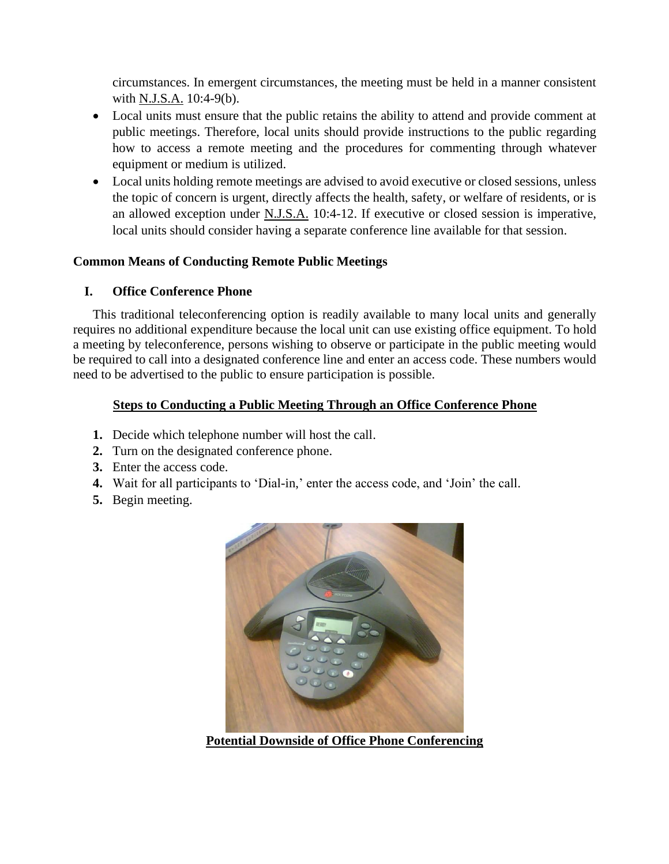circumstances. In emergent circumstances, the meeting must be held in a manner consistent with N.J.S.A. 10:4-9(b).

- Local units must ensure that the public retains the ability to attend and provide comment at public meetings. Therefore, local units should provide instructions to the public regarding how to access a remote meeting and the procedures for commenting through whatever equipment or medium is utilized.
- Local units holding remote meetings are advised to avoid executive or closed sessions, unless the topic of concern is urgent, directly affects the health, safety, or welfare of residents, or is an allowed exception under N.J.S.A. 10:4-12. If executive or closed session is imperative, local units should consider having a separate conference line available for that session.

#### **Common Means of Conducting Remote Public Meetings**

#### **I. Office Conference Phone**

This traditional teleconferencing option is readily available to many local units and generally requires no additional expenditure because the local unit can use existing office equipment. To hold a meeting by teleconference, persons wishing to observe or participate in the public meeting would be required to call into a designated conference line and enter an access code. These numbers would need to be advertised to the public to ensure participation is possible.

#### **Steps to Conducting a Public Meeting Through an Office Conference Phone**

- **1.** Decide which telephone number will host the call.
- **2.** Turn on the designated conference phone.
- **3.** Enter the access code.
- **4.** Wait for all participants to 'Dial-in,' enter the access code, and 'Join' the call.
- **5.** Begin meeting.



**Potential Downside of Office Phone Conferencing**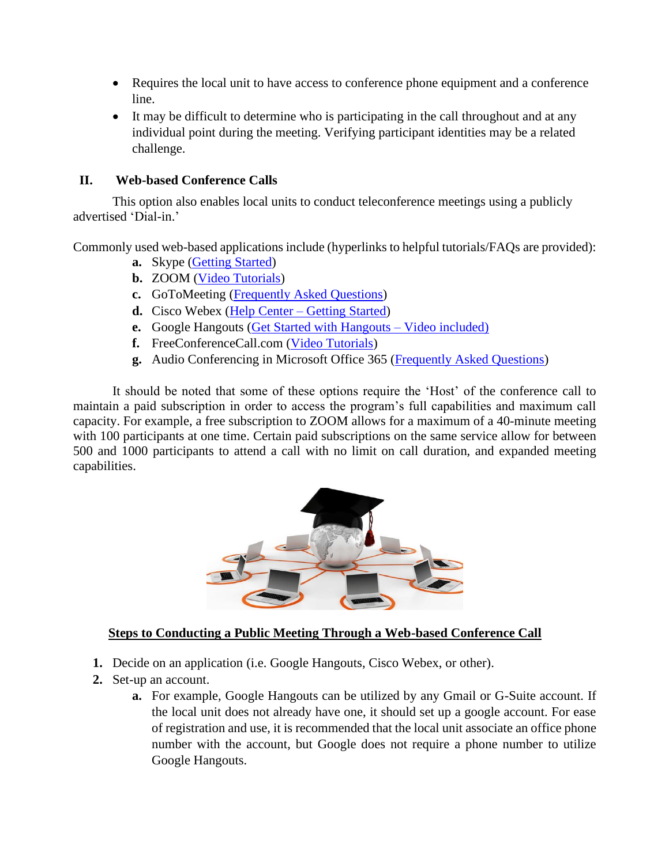- Requires the local unit to have access to conference phone equipment and a conference line.
- It may be difficult to determine who is participating in the call throughout and at any individual point during the meeting. Verifying participant identities may be a related challenge.

#### **II. Web-based Conference Calls**

This option also enables local units to conduct teleconference meetings using a publicly advertised 'Dial-in.'

Commonly used web-based applications include (hyperlinks to helpful tutorials/FAQs are provided):

- **a.** Skype [\(Getting Started\)](https://support.skype.com/en/skype/windows-desktop/start/)
- **b.** ZOOM [\(Video Tutorials\)](https://support.zoom.us/hc/en-us/articles/206618765-Zoom-Video-Tutorials?_ga=2.92855445.94386711.1584711257-489180264.1584711257)
- **c.** GoToMeeting [\(Frequently Asked Questions\)](https://www.gotomeeting.com/meeting/online-meeting-support)
- **d.** Cisco Webex (Help Center [Getting Started\)](https://help.webex.com/landing/gettingstarted)
- **e.** Google Hangouts [\(Get Started with Hangouts –](https://support.google.com/hangouts/answer/2944865?co=GENIE.Platform%3DDesktop&hl=en) Video included)
- **f.** FreeConferenceCall.com [\(Video Tutorials\)](https://www.freeconferencecall.com/tutorials)
- **g.** Audio Conferencing in Microsoft Office 365 [\(Frequently Asked Questions\)](https://docs.microsoft.com/en-us/microsoftteams/audio-conferencing-in-office-365)

It should be noted that some of these options require the 'Host' of the conference call to maintain a paid subscription in order to access the program's full capabilities and maximum call capacity. For example, a free subscription to ZOOM allows for a maximum of a 40-minute meeting with 100 participants at one time. Certain paid subscriptions on the same service allow for between 500 and 1000 participants to attend a call with no limit on call duration, and expanded meeting capabilities.



#### **Steps to Conducting a Public Meeting Through a Web-based Conference Call**

- **1.** Decide on an application (i.e. Google Hangouts, Cisco Webex, or other).
- **2.** Set-up an account.
	- **a.** For example, Google Hangouts can be utilized by any Gmail or G-Suite account. If the local unit does not already have one, it should set up a google account. For ease of registration and use, it is recommended that the local unit associate an office phone number with the account, but Google does not require a phone number to utilize Google Hangouts.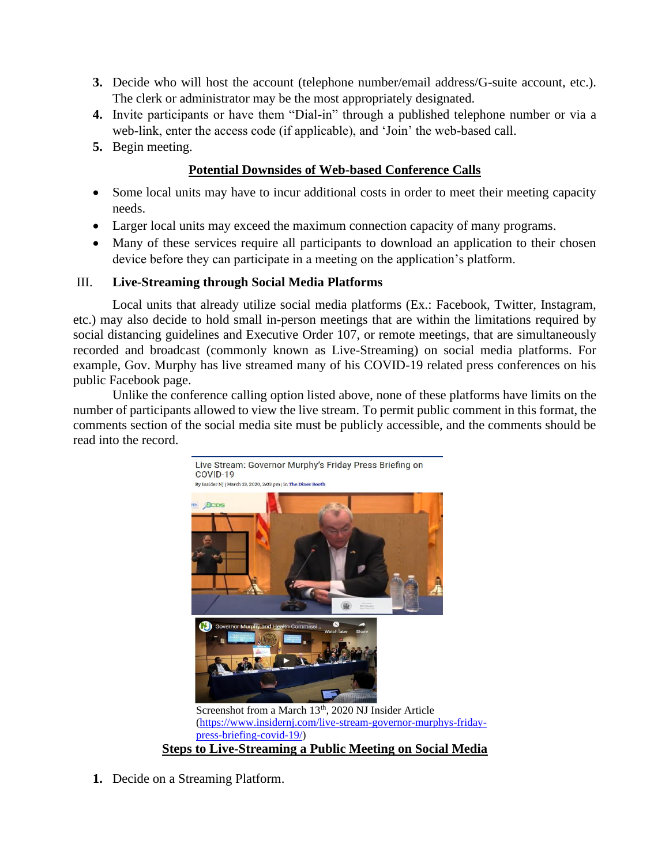- **3.** Decide who will host the account (telephone number/email address/G-suite account, etc.). The clerk or administrator may be the most appropriately designated.
- **4.** Invite participants or have them "Dial-in" through a published telephone number or via a web-link, enter the access code (if applicable), and 'Join' the web-based call.
- **5.** Begin meeting.

#### **Potential Downsides of Web-based Conference Calls**

- Some local units may have to incur additional costs in order to meet their meeting capacity needs.
- Larger local units may exceed the maximum connection capacity of many programs.
- Many of these services require all participants to download an application to their chosen device before they can participate in a meeting on the application's platform.

#### III. **Live-Streaming through Social Media Platforms**

Local units that already utilize social media platforms (Ex.: Facebook, Twitter, Instagram, etc.) may also decide to hold small in-person meetings that are within the limitations required by social distancing guidelines and Executive Order 107, or remote meetings, that are simultaneously recorded and broadcast (commonly known as Live-Streaming) on social media platforms. For example, Gov. Murphy has live streamed many of his COVID-19 related press conferences on his public Facebook page.

Unlike the conference calling option listed above, none of these platforms have limits on the number of participants allowed to view the live stream. To permit public comment in this format, the comments section of the social media site must be publicly accessible, and the comments should be read into the record.



[\(https://www.insidernj.com/live-stream-governor-murphys-friday](https://www.insidernj.com/live-stream-governor-murphys-friday-press-briefing-covid-19/)[press-briefing-covid-19/\)](https://www.insidernj.com/live-stream-governor-murphys-friday-press-briefing-covid-19/) **Steps to Live-Streaming a Public Meeting on Social Media**

**1.** Decide on a Streaming Platform.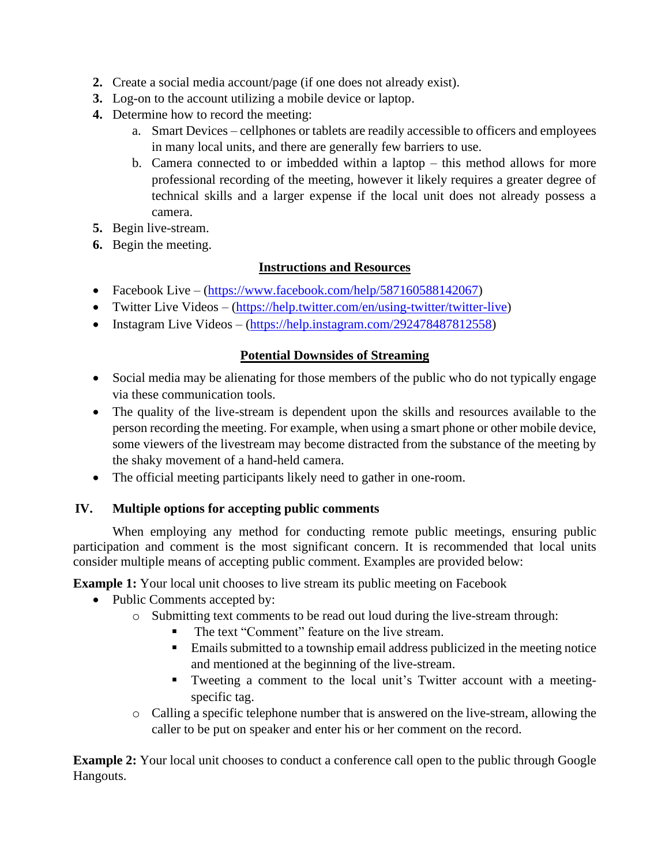- **2.** Create a social media account/page (if one does not already exist).
- **3.** Log-on to the account utilizing a mobile device or laptop.
- **4.** Determine how to record the meeting:
	- a. Smart Devices cellphones or tablets are readily accessible to officers and employees in many local units, and there are generally few barriers to use.
	- b. Camera connected to or imbedded within a laptop this method allows for more professional recording of the meeting, however it likely requires a greater degree of technical skills and a larger expense if the local unit does not already possess a camera.
- **5.** Begin live-stream.
- **6.** Begin the meeting.

### **Instructions and Resources**

- Facebook Live [\(https://www.facebook.com/help/587160588142067\)](https://www.facebook.com/help/587160588142067)
- Twitter Live Videos [\(https://help.twitter.com/en/using-twitter/twitter-live\)](https://help.twitter.com/en/using-twitter/twitter-live)
- Instagram Live Videos [\(https://help.instagram.com/292478487812558\)](https://help.instagram.com/292478487812558)

#### **Potential Downsides of Streaming**

- Social media may be alienating for those members of the public who do not typically engage via these communication tools.
- The quality of the live-stream is dependent upon the skills and resources available to the person recording the meeting. For example, when using a smart phone or other mobile device, some viewers of the livestream may become distracted from the substance of the meeting by the shaky movement of a hand-held camera.
- The official meeting participants likely need to gather in one-room.

## **IV. Multiple options for accepting public comments**

When employing any method for conducting remote public meetings, ensuring public participation and comment is the most significant concern. It is recommended that local units consider multiple means of accepting public comment. Examples are provided below:

**Example 1:** Your local unit chooses to live stream its public meeting on Facebook

- Public Comments accepted by:
	- o Submitting text comments to be read out loud during the live-stream through:
		- The text "Comment" feature on the live stream.
		- **Emails submitted to a township email address publicized in the meeting notice** and mentioned at the beginning of the live-stream.
		- Tweeting a comment to the local unit's Twitter account with a meetingspecific tag.
	- o Calling a specific telephone number that is answered on the live-stream, allowing the caller to be put on speaker and enter his or her comment on the record.

**Example 2:** Your local unit chooses to conduct a conference call open to the public through Google Hangouts.